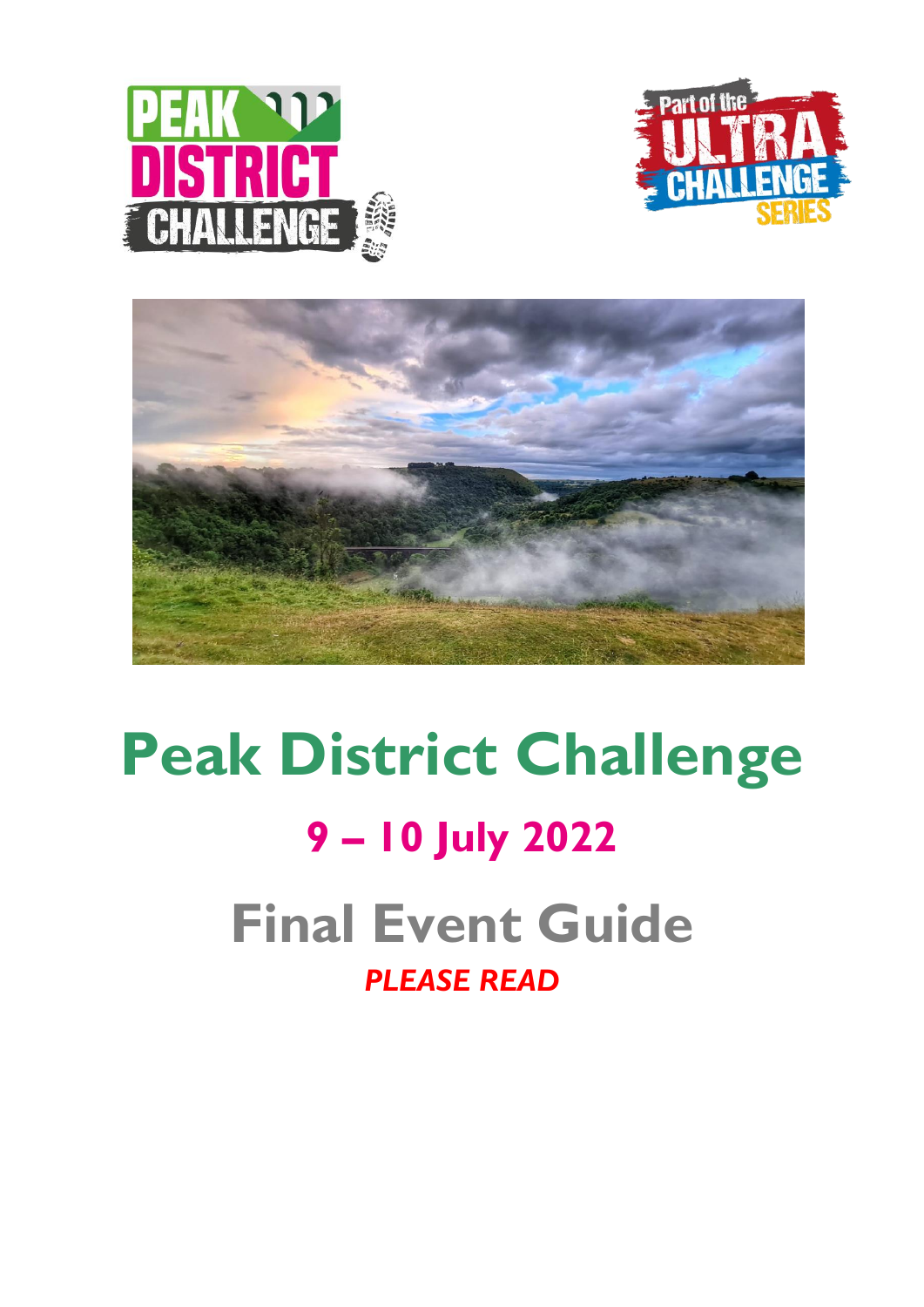





# **Peak District Challenge 9 – 10 July 2022 Final Event Guide** *PLEASE READ*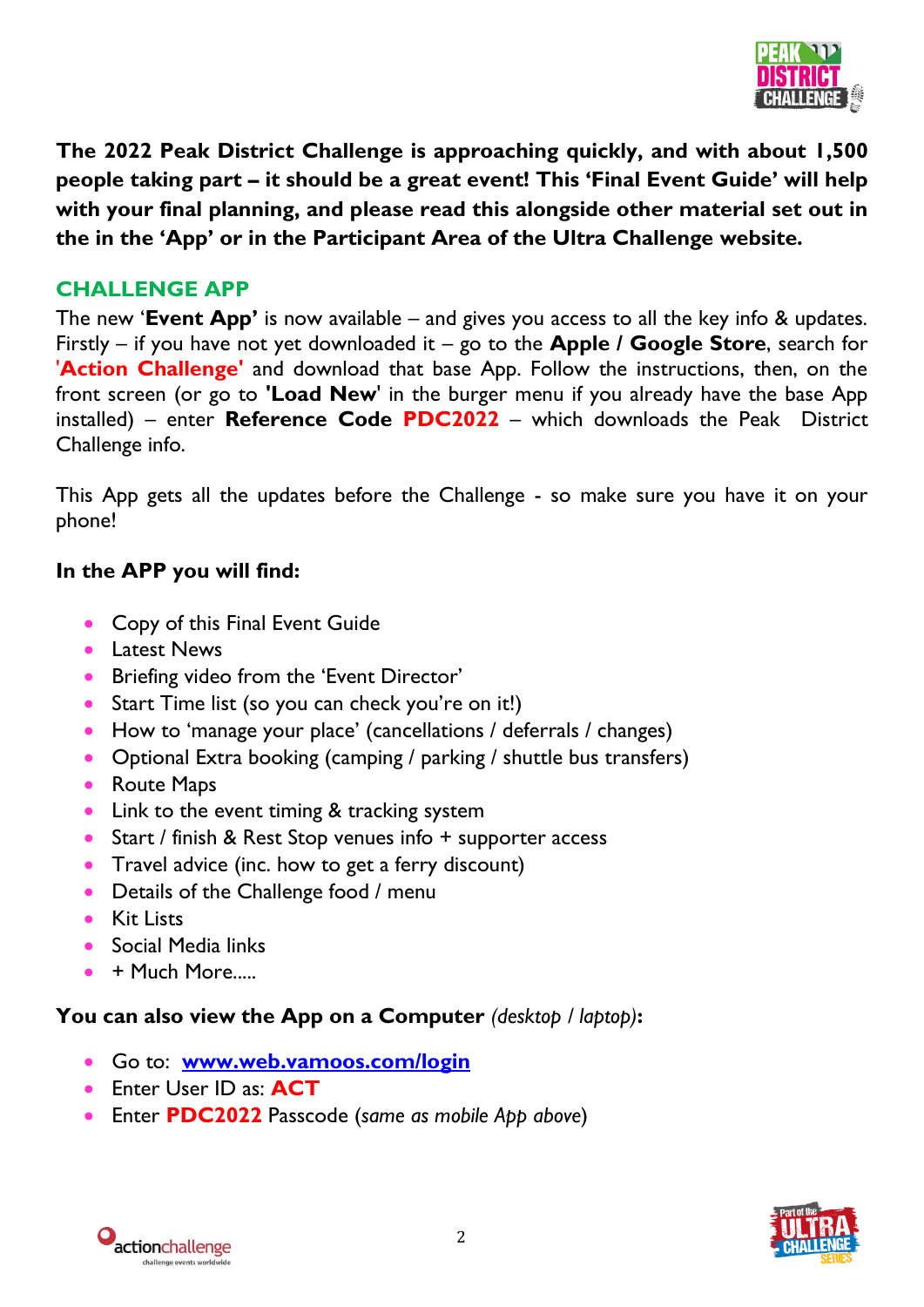

**The 2022 Peak District Challenge is approaching quickly, and with about 1,500 people taking part – it should be a great event! This 'Final Event Guide' will help with your final planning, and please read this alongside other material set out in the in the 'App' or in the Participant Area of the Ultra Challenge website.**

## **CHALLENGE APP**

The new '**Event App'** is now available – and gives you access to all the key info & updates. Firstly – if you have not yet downloaded it – go to the **Apple / Google Store**, search for '**Action Challenge'** and download that base App. Follow the instructions, then, on the front screen (or go to **'Load New**' in the burger menu if you already have the base App installed) – enter **Reference Code PDC2022** – which downloads the Peak District Challenge info.

This App gets all the updates before the Challenge - so make sure you have it on your phone!

#### **In the APP you will find:**

- Copy of this Final Event Guide
- **•** Latest News
- **•** Briefing video from the 'Event Director'
- Start Time list (so you can check you're on it!)
- How to 'manage your place' (cancellations / deferrals / changes)
- Optional Extra booking (camping / parking / shuttle bus transfers)
- Route Maps
- Link to the event timing & tracking system
- Start / finish & Rest Stop venues info + supporter access
- Travel advice (inc. how to get a ferry discount)
- Details of the Challenge food / menu
- **Kit Lists**
- Social Media links
- + Much More.....

#### **You can also view the App on a Computer** *(desktop / laptop)***:**

- Go to: **[www.web.vamoos.com/login](http://www.web.vamoos.com/login)**
- Enter User ID as: **ACT**
- Enter **PDC2022** Passcode (*same as mobile App above*)



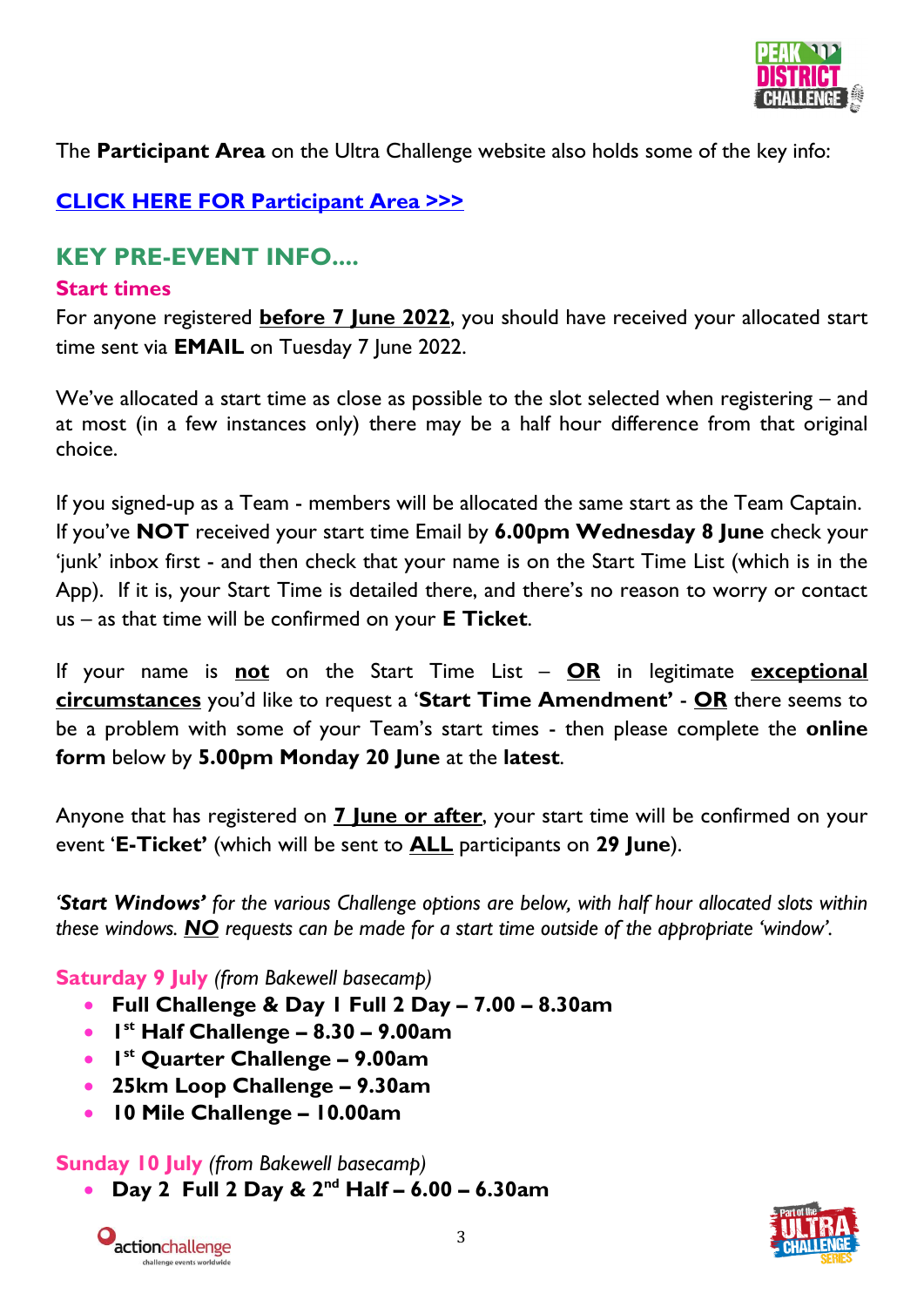

The **Participant Area** on the Ultra Challenge website also holds some of the key info:

# **[CLICK HERE FOR Participant Area >>>](https://www.ultrachallenge.com/participant-area/peak-district-participant-area/)**

# **KEY PRE-EVENT INFO....**

#### **Start times**

For anyone registered **before 7 June 2022**, you should have received your allocated start time sent via **EMAIL** on Tuesday 7 June 2022.

We've allocated a start time as close as possible to the slot selected when registering – and at most (in a few instances only) there may be a half hour difference from that original choice.

If you signed-up as a Team - members will be allocated the same start as the Team Captain. If you've **NOT** received your start time Email by **6.00pm Wednesday 8 June** check your 'junk' inbox first - and then check that your name is on the Start Time List (which is in the App). If it is, your Start Time is detailed there, and there's no reason to worry or contact us – as that time will be confirmed on your **E Ticket**.

If your name is **not** on the Start Time List – **OR** in legitimate **exceptional circumstances** you'd like to request a '**Start Time Amendment'** - **OR** there seems to be a problem with some of your Team's start times - then please complete the **online form** below by **5.00pm Monday 20 June** at the **latest**.

Anyone that has registered on **7 June or after**, your start time will be confirmed on your event '**E-Ticket'** (which will be sent to **ALL** participants on **29 June**).

*'Start Windows' for the various Challenge options are below, with half hour allocated slots within these windows. NO requests can be made for a start time outside of the appropriate 'window'.*

**Saturday 9 July** *(from Bakewell basecamp)*

- **Full Challenge & Day 1 Full 2 Day – 7.00 – 8.30am**
- **1 st Half Challenge – 8.30 – 9.00am**
- **1 st Quarter Challenge – 9.00am**
- **25km Loop Challenge – 9.30am**
- **10 Mile Challenge – 10.00am**

#### **Sunday 10 July** *(from Bakewell basecamp)*

**Day 2 Full 2 Day & 2nd Half – 6.00 – 6.30am**



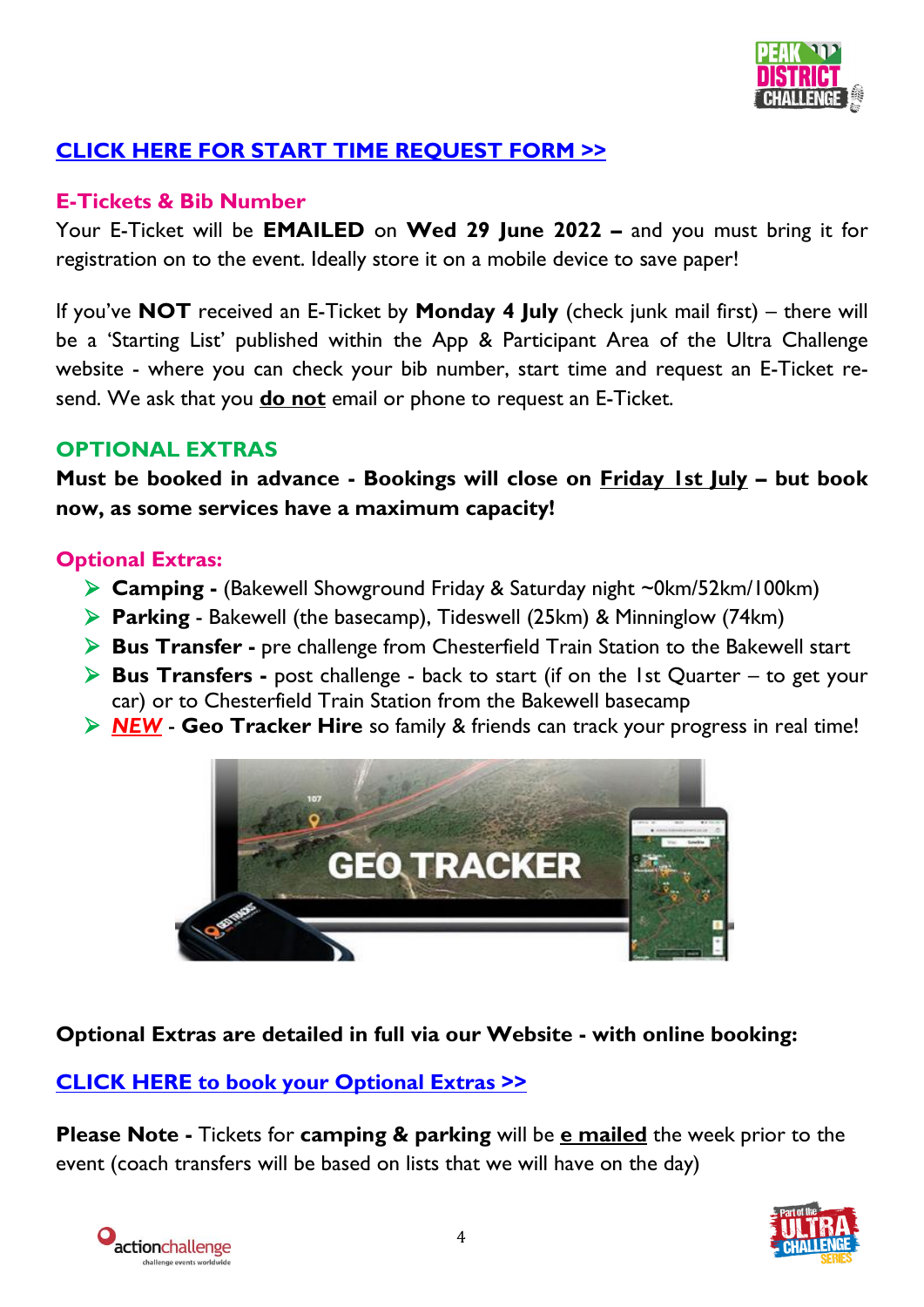

# **[CLICK HERE FOR START TIME REQUEST FORM](https://airtable.com/shrmkFC9asCbaoant) >>**

## **E-Tickets & Bib Number**

Your E-Ticket will be **EMAILED** on **Wed 29 June 2022 –** and you must bring it for registration on to the event. Ideally store it on a mobile device to save paper!

If you've **NOT** received an E-Ticket by **Monday 4 July** (check junk mail first) – there will be a 'Starting List' published within the App & Participant Area of the Ultra Challenge website - where you can check your bib number, start time and request an E-Ticket resend. We ask that you **do not** email or phone to request an E-Ticket.

#### **OPTIONAL EXTRAS**

**Must be booked in advance - Bookings will close on Friday 1st July – but book now, as some services have a maximum capacity!**

## **Optional Extras:**

- **Camping -** (Bakewell Showground Friday & Saturday night ~0km/52km/100km)
- **Parking**  Bakewell (the basecamp), Tideswell (25km) & Minninglow (74km)
- **Bus Transfer -** pre challenge from Chesterfield Train Station to the Bakewell start
- **Bus Transfers -** post challenge back to start (if on the 1st Quarter to get your car) or to Chesterfield Train Station from the Bakewell basecamp
- *NEW* **Geo Tracker Hire** so family & friends can track your progress in real time!



#### **Optional Extras are detailed in full via our Website - with online booking:**

#### **[CLICK HERE to book your Optional Extras >>](https://www.ultrachallenge.com/peak-district-challenge/bookable-extras/)**

**Please Note -** Tickets for **camping & parking** will be **e mailed** the week prior to the event (coach transfers will be based on lists that we will have on the day)



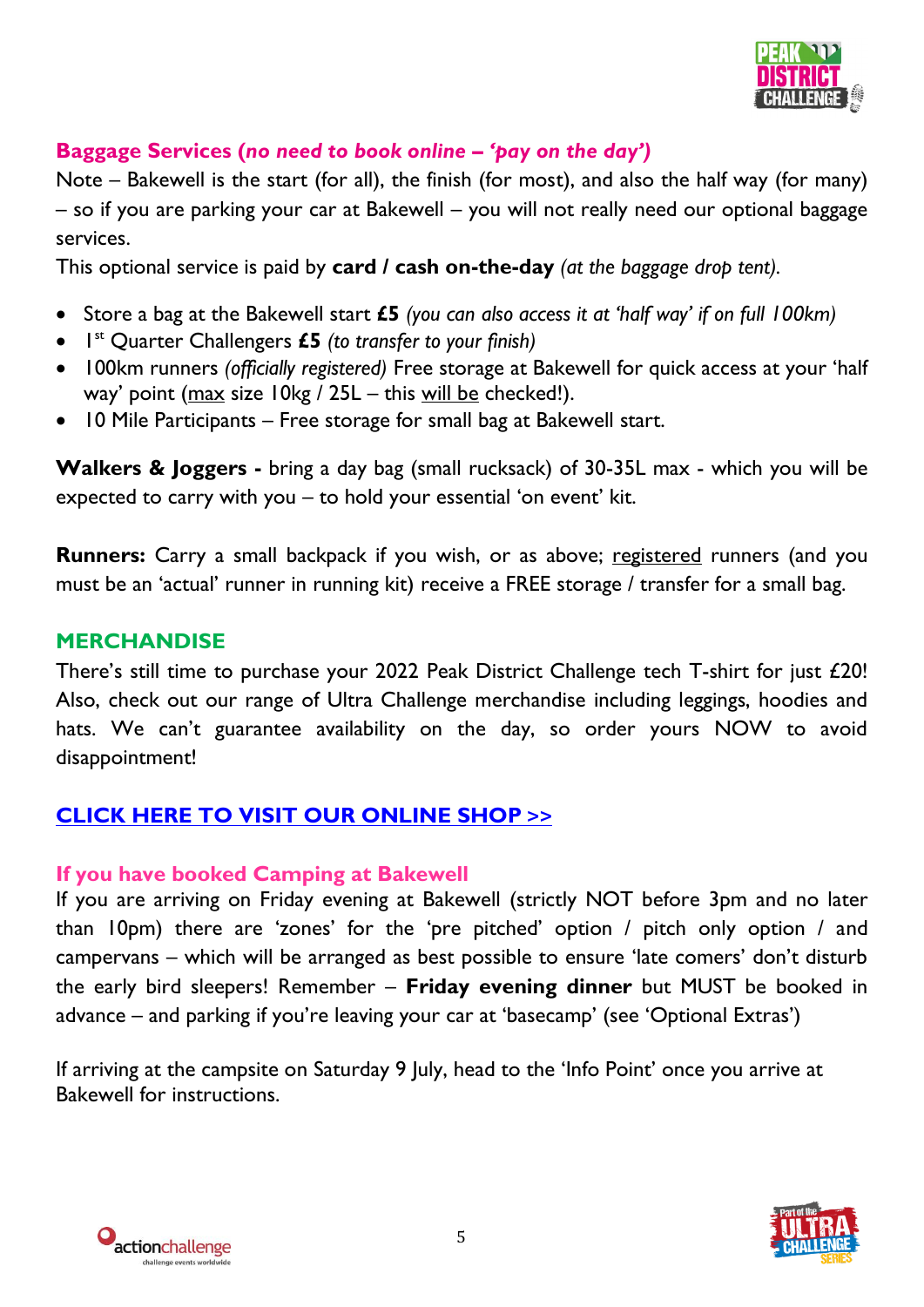

## **Baggage Services (***no need to book online – 'pay on the day')*

Note – Bakewell is the start (for all), the finish (for most), and also the half way (for many) – so if you are parking your car at Bakewell – you will not really need our optional baggage services.

This optional service is paid by **card / cash on-the-day** *(at the baggage drop tent).*

- Store a bag at the Bakewell start **£5** *(you can also access it at 'half way' if on full 100km)*
- 1 st Quarter Challengers **£5** *(to transfer to your finish)*
- 100km runners *(officially registered)* Free storage at Bakewell for quick access at your 'half way' point (max size 10kg / 25L – this will be checked!).
- 10 Mile Participants Free storage for small bag at Bakewell start.

**Walkers & Joggers -** bring a day bag (small rucksack) of 30-35L max - which you will be expected to carry with you – to hold your essential 'on event' kit.

**Runners:** Carry a small backpack if you wish, or as above; registered runners (and you must be an 'actual' runner in running kit) receive a FREE storage / transfer for a small bag.

## **MERCHANDISE**

There's still time to purchase your 2022 Peak District Challenge tech T-shirt for just £20! Also, check out our range of Ultra Challenge merchandise including leggings, hoodies and hats. We can't guarantee availability on the day, so order yours NOW to avoid disappointment!

# **[CLICK HERE TO VISIT OUR ONLINE SHOP](https://action-challenge-store.myshopify.com/) >>**

#### **If you have booked Camping at Bakewell**

If you are arriving on Friday evening at Bakewell (strictly NOT before 3pm and no later than 10pm) there are 'zones' for the 'pre pitched' option / pitch only option / and campervans – which will be arranged as best possible to ensure 'late comers' don't disturb the early bird sleepers! Remember – **Friday evening dinner** but MUST be booked in advance – and parking if you're leaving your car at 'basecamp' (see 'Optional Extras')

If arriving at the campsite on Saturday 9 July, head to the 'Info Point' once you arrive at Bakewell for instructions.



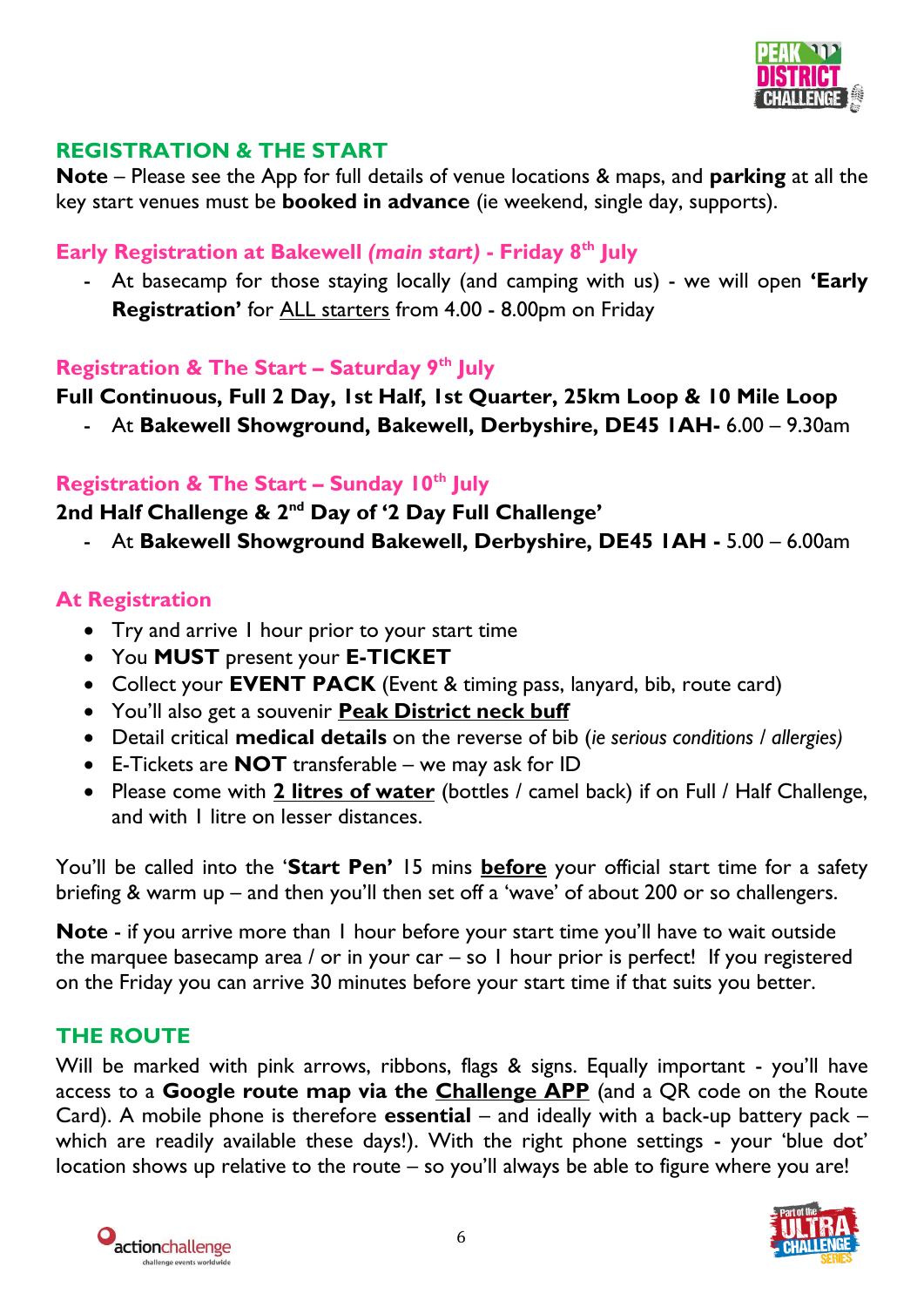

#### **REGISTRATION & THE START**

**Note** – Please see the App for full details of venue locations & maps, and **parking** at all the key start venues must be **booked in advance** (ie weekend, single day, supports).

#### **Early Registration at Bakewell** *(main start)* **- Friday 8 th July**

- At basecamp for those staying locally (and camping with us) - we will open **'Early Registration'** for ALL starters from 4.00 - 8.00pm on Friday

#### **Registration & The Start – Saturday 9 th July**

#### **Full Continuous, Full 2 Day, 1st Half, 1st Quarter, 25km Loop & 10 Mile Loop**

- At **Bakewell Showground, Bakewell, Derbyshire, DE45 1AH-** 6.00 – 9.30am

#### **Registration & The Start – Sunday 10th July**

#### **2nd Half Challenge & 2nd Day of '2 Day Full Challenge'**

- At **Bakewell Showground Bakewell, Derbyshire, DE45 1AH -** 5.00 – 6.00am

#### **At Registration**

- Try and arrive I hour prior to your start time
- You **MUST** present your **E-TICKET**
- Collect your **EVENT PACK** (Event & timing pass, lanyard, bib, route card)
- You'll also get a souvenir **Peak District neck buff**
- Detail critical **medical details** on the reverse of bib (*ie serious conditions / allergies)*
- E-Tickets are **NOT** transferable we may ask for ID
- Please come with **2 litres of water** (bottles / camel back) if on Full / Half Challenge, and with 1 litre on lesser distances.

You'll be called into the '**Start Pen'** 15 mins **before** your official start time for a safety briefing & warm up – and then you'll then set off a 'wave' of about 200 or so challengers.

**Note** - if you arrive more than 1 hour before your start time you'll have to wait outside the marquee basecamp area / or in your car – so 1 hour prior is perfect! If you registered on the Friday you can arrive 30 minutes before your start time if that suits you better.

#### **THE ROUTE**

Will be marked with pink arrows, ribbons, flags & signs. Equally important - you'll have access to a **Google route map via the Challenge APP** (and a QR code on the Route Card). A mobile phone is therefore **essential** – and ideally with a back-up battery pack – which are readily available these days!). With the right phone settings - your 'blue dot' location shows up relative to the route – so you'll always be able to figure where you are!



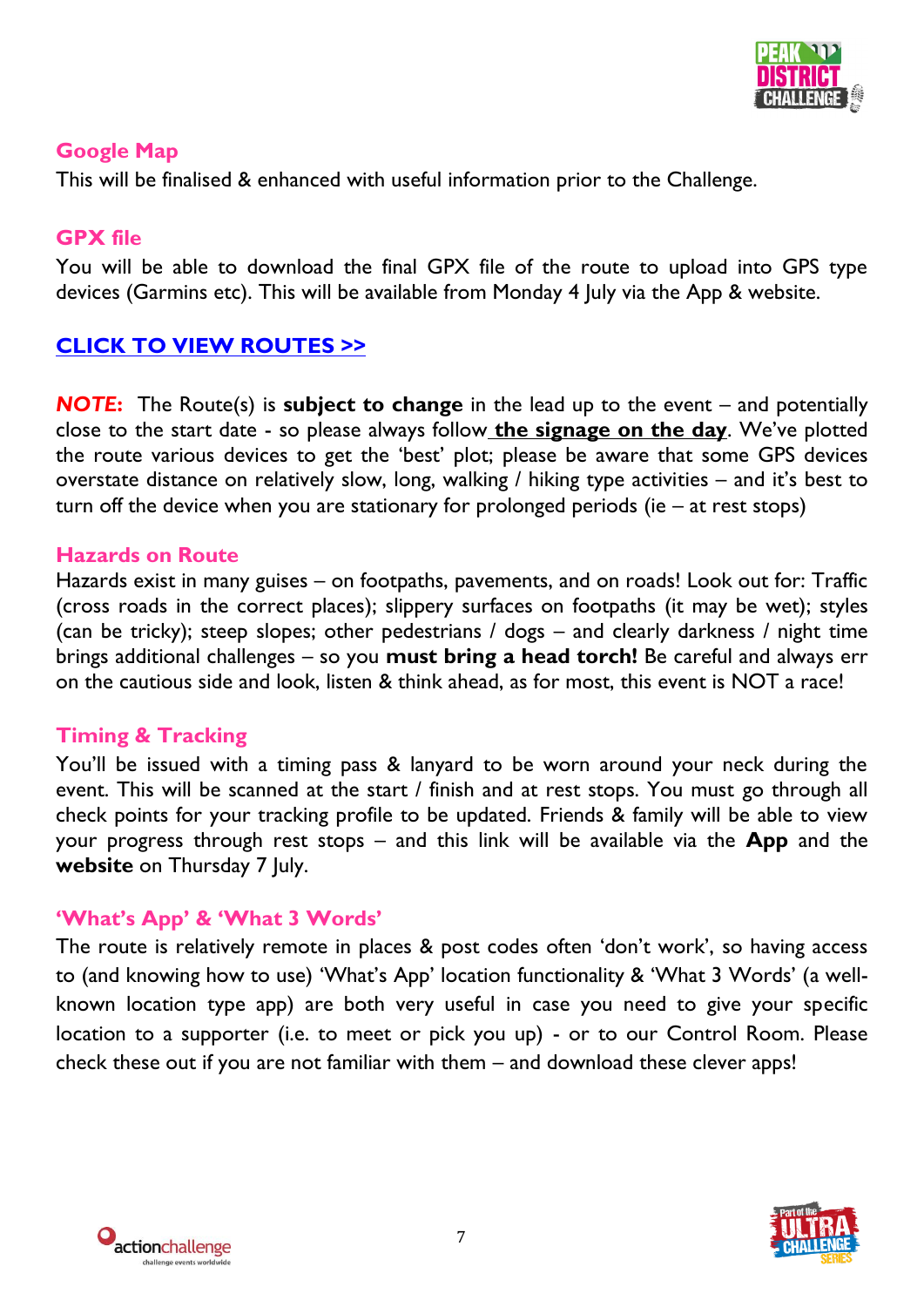

#### **Google Map**

This will be finalised & enhanced with useful information prior to the Challenge.

#### **GPX file**

You will be able to download the final GPX file of the route to upload into GPS type devices (Garmins etc). This will be available from Monday 4 July via the App & website.

# **[CLICK TO VIEW ROUTES](https://www.google.com/maps/d/embed?mid=11iTiEhRbwTYeS4aoBQscWgdNM3e-D6Nb&ehbc=2E312F%22%20width=%22640%22%20height=%22480) >>**

*NOTE***:** The Route(s) is **subject to change** in the lead up to the event – and potentially close to the start date - so please always follow **the signage on the day**. We've plotted the route various devices to get the 'best' plot; please be aware that some GPS devices overstate distance on relatively slow, long, walking / hiking type activities – and it's best to turn off the device when you are stationary for prolonged periods (ie – at rest stops)

#### **Hazards on Route**

Hazards exist in many guises – on footpaths, pavements, and on roads! Look out for: Traffic (cross roads in the correct places); slippery surfaces on footpaths (it may be wet); styles (can be tricky); steep slopes; other pedestrians / dogs – and clearly darkness / night time brings additional challenges – so you **must bring a head torch!** Be careful and always err on the cautious side and look, listen & think ahead, as for most, this event is NOT a race!

#### **Timing & Tracking**

You'll be issued with a timing pass & lanyard to be worn around your neck during the event. This will be scanned at the start / finish and at rest stops. You must go through all check points for your tracking profile to be updated. Friends & family will be able to view your progress through rest stops – and this link will be available via the **App** and the website on Thursday 7 July.

#### **'What's App' & 'What 3 Words'**

The route is relatively remote in places & post codes often 'don't work', so having access to (and knowing how to use) 'What's App' location functionality & 'What 3 Words' (a wellknown location type app) are both very useful in case you need to give your specific location to a supporter (i.e. to meet or pick you up) - or to our Control Room. Please check these out if you are not familiar with them – and download these clever apps!



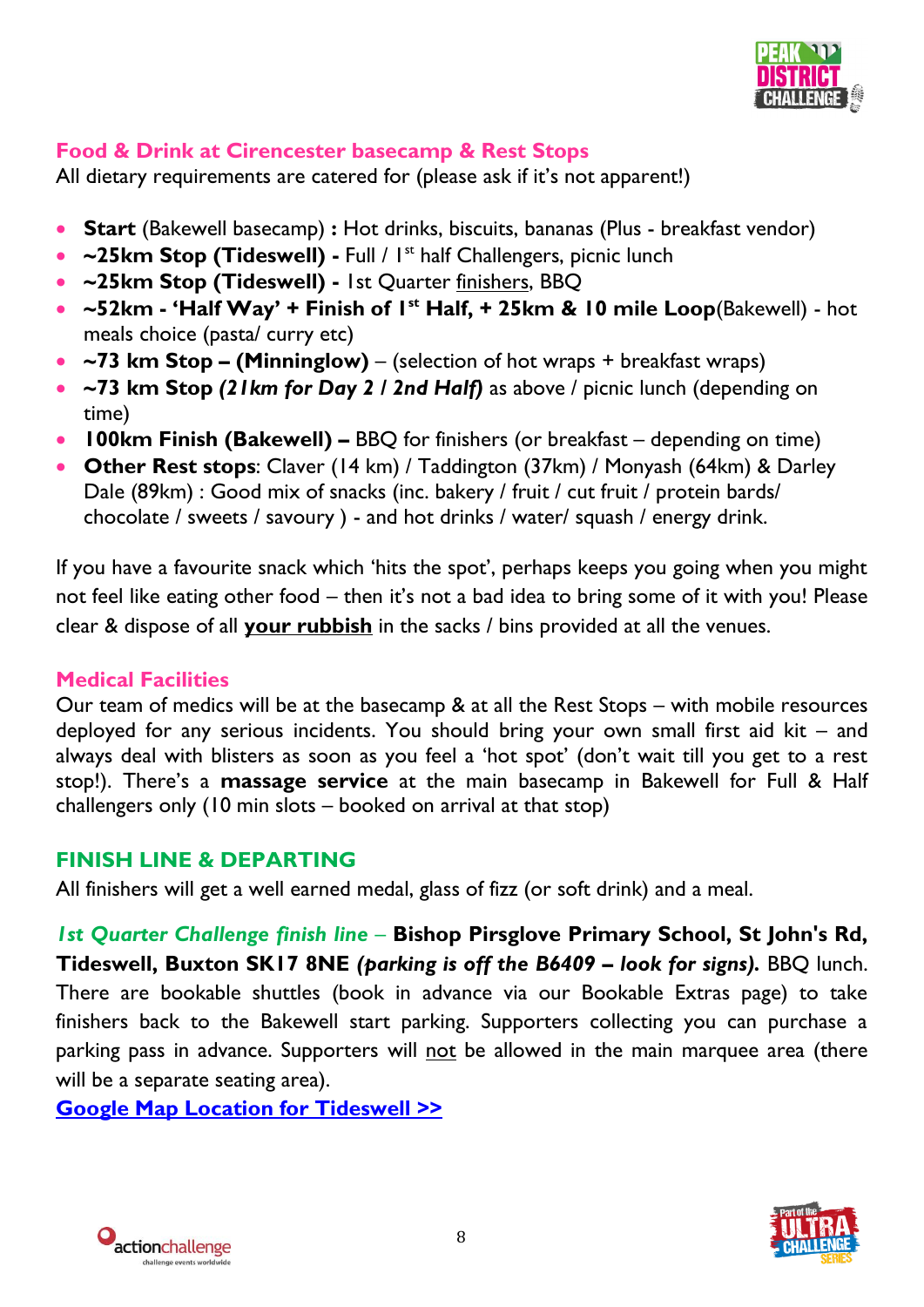

# **Food & Drink at Cirencester basecamp & Rest Stops**

All dietary requirements are catered for (please ask if it's not apparent!)

- **Start** (Bakewell basecamp) **:** Hot drinks, biscuits, bananas (Plus breakfast vendor)
- ~25km Stop (Tideswell) Full / I<sup>st</sup> half Challengers, picnic lunch
- **~25km Stop (Tideswell) -** 1st Quarter finishers, BBQ
- **~52km - 'Half Way' + Finish of 1 st Half, + 25km & 10 mile Loop**(Bakewell) hot meals choice (pasta/ curry etc)
- **~73 km Stop – (Minninglow)**  (selection of hot wraps + breakfast wraps)
- **~73 km Stop** *(21km for Day 2 / 2nd Half)* as above / picnic lunch (depending on time)
- **100km Finish (Bakewell) –** BBQ for finishers (or breakfast depending on time)
- **Other Rest stops**: Claver (14 km) / Taddington (37km) / Monyash (64km) & Darley Dale (89km) : Good mix of snacks (inc. bakery / fruit / cut fruit / protein bards/ chocolate / sweets / savoury ) - and hot drinks / water/ squash / energy drink.

If you have a favourite snack which 'hits the spot', perhaps keeps you going when you might not feel like eating other food – then it's not a bad idea to bring some of it with you! Please clear & dispose of all **your rubbish** in the sacks / bins provided at all the venues.

#### **Medical Facilities**

Our team of medics will be at the basecamp & at all the Rest Stops – with mobile resources deployed for any serious incidents. You should bring your own small first aid kit – and always deal with blisters as soon as you feel a 'hot spot' (don't wait till you get to a rest stop!). There's a **massage service** at the main basecamp in Bakewell for Full & Half challengers only (10 min slots – booked on arrival at that stop)

#### **FINISH LINE & DEPARTING**

All finishers will get a well earned medal, glass of fizz (or soft drink) and a meal.

*1st Quarter Challenge finish line –* **Bishop Pirsglove Primary School, St John's Rd, Tideswell, Buxton SK17 8NE** *(parking is off the B6409 – look for signs).* BBQ lunch. There are bookable shuttles (book in advance via our Bookable Extras page) to take finishers back to the Bakewell start parking. Supporters collecting you can purchase a parking pass in advance. Supporters will not be allowed in the main marquee area (there will be a separate seating area).

**[Google Map Location for Tideswell](https://www.google.com/maps/place/53%C2%B016) >>**



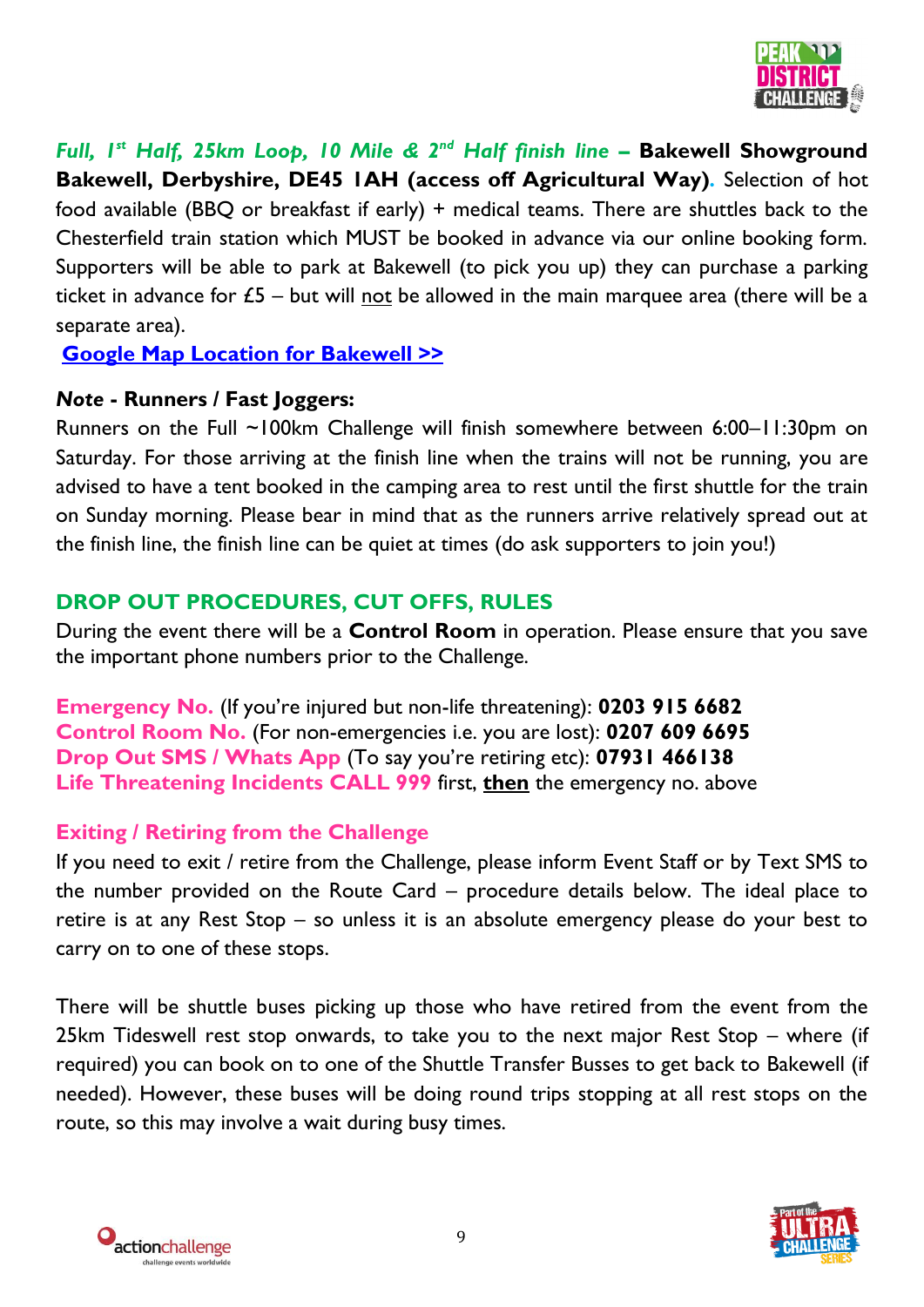

*Full, 1st Half, 25km Loop, 10 Mile & 2nd Half finish line –* **Bakewell Showground Bakewell, Derbyshire, DE45 1AH (access off Agricultural Way)***.* Selection of hot food available (BBQ or breakfast if early) + medical teams. There are shuttles back to the Chesterfield train station which MUST be booked in advance via our online booking form. Supporters will be able to park at Bakewell (to pick you up) they can purchase a parking ticket in advance for  $E_5$  – but will not be allowed in the main marquee area (there will be a separate area).

**[Google Map Location for Bakewell](https://www.google.com/maps/place/53%C2%B012) >>**

#### *Note* **- Runners / Fast Joggers:**

Runners on the Full ~100km Challenge will finish somewhere between 6:00–11:30pm on Saturday. For those arriving at the finish line when the trains will not be running, you are advised to have a tent booked in the camping area to rest until the first shuttle for the train on Sunday morning. Please bear in mind that as the runners arrive relatively spread out at the finish line, the finish line can be quiet at times (do ask supporters to join you!)

# **DROP OUT PROCEDURES, CUT OFFS, RULES**

During the event there will be a **Control Room** in operation. Please ensure that you save the important phone numbers prior to the Challenge.

**Emergency No.** (If you're injured but non-life threatening): **0203 915 6682 Control Room No.** (For non-emergencies i.e. you are lost): **0207 609 6695 Drop Out SMS / Whats App** (To say you're retiring etc): **07931 466138 Life Threatening Incidents CALL 999** first, **then** the emergency no. above

#### **Exiting / Retiring from the Challenge**

If you need to exit / retire from the Challenge, please inform Event Staff or by Text SMS to the number provided on the Route Card – procedure details below. The ideal place to retire is at any Rest Stop – so unless it is an absolute emergency please do your best to carry on to one of these stops.

There will be shuttle buses picking up those who have retired from the event from the 25km Tideswell rest stop onwards, to take you to the next major Rest Stop – where (if required) you can book on to one of the Shuttle Transfer Busses to get back to Bakewell (if needed). However, these buses will be doing round trips stopping at all rest stops on the route, so this may involve a wait during busy times.



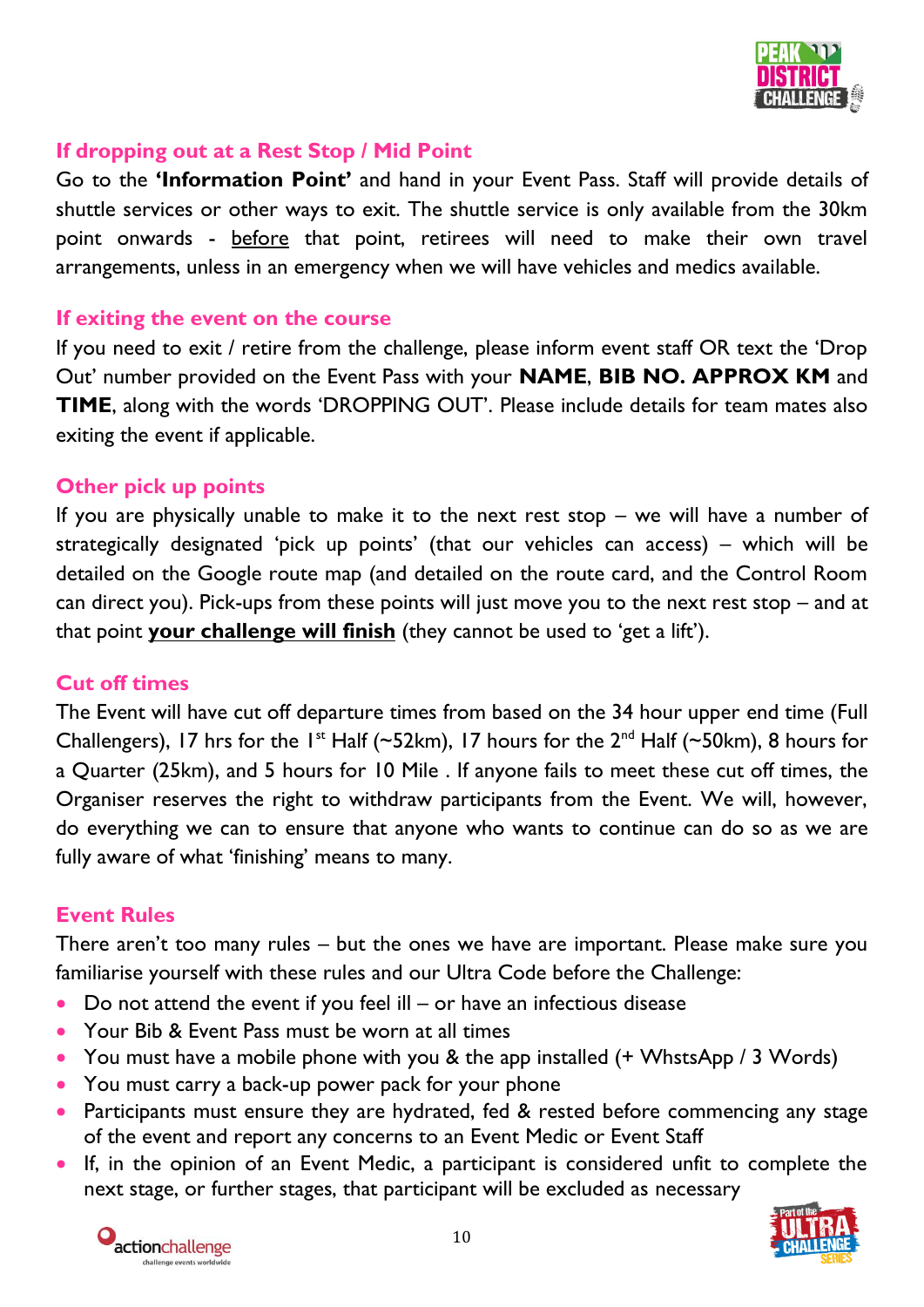

#### **If dropping out at a Rest Stop / Mid Point**

Go to the **'Information Point'** and hand in your Event Pass. Staff will provide details of shuttle services or other ways to exit. The shuttle service is only available from the 30km point onwards - before that point, retirees will need to make their own travel arrangements, unless in an emergency when we will have vehicles and medics available.

#### **If exiting the event on the course**

If you need to exit / retire from the challenge, please inform event staff OR text the 'Drop Out' number provided on the Event Pass with your **NAME**, **BIB NO. APPROX KM** and **TIME**, along with the words 'DROPPING OUT'. Please include details for team mates also exiting the event if applicable.

#### **Other pick up points**

If you are physically unable to make it to the next rest stop – we will have a number of strategically designated 'pick up points' (that our vehicles can access) – which will be detailed on the Google route map (and detailed on the route card, and the Control Room can direct you). Pick-ups from these points will just move you to the next rest stop – and at that point **your challenge will finish** (they cannot be used to 'get a lift').

#### **Cut off times**

The Event will have cut off departure times from based on the 34 hour upper end time (Full Challengers), 17 hrs for the 1<sup>st</sup> Half (~52km), 17 hours for the  $2^{nd}$  Half (~50km), 8 hours for a Quarter (25km), and 5 hours for 10 Mile . If anyone fails to meet these cut off times, the Organiser reserves the right to withdraw participants from the Event. We will, however, do everything we can to ensure that anyone who wants to continue can do so as we are fully aware of what 'finishing' means to many.

#### **Event Rules**

There aren't too many rules – but the ones we have are important. Please make sure you familiarise yourself with these rules and our Ultra Code before the Challenge:

- Do not attend the event if you feel ill or have an infectious disease
- Your Bib & Event Pass must be worn at all times
- You must have a mobile phone with you & the app installed (+ WhstsApp / 3 Words)
- You must carry a back-up power pack for your phone
- Participants must ensure they are hydrated, fed & rested before commencing any stage of the event and report any concerns to an Event Medic or Event Staff
- If, in the opinion of an Event Medic, a participant is considered unfit to complete the next stage, or further stages, that participant will be excluded as necessary



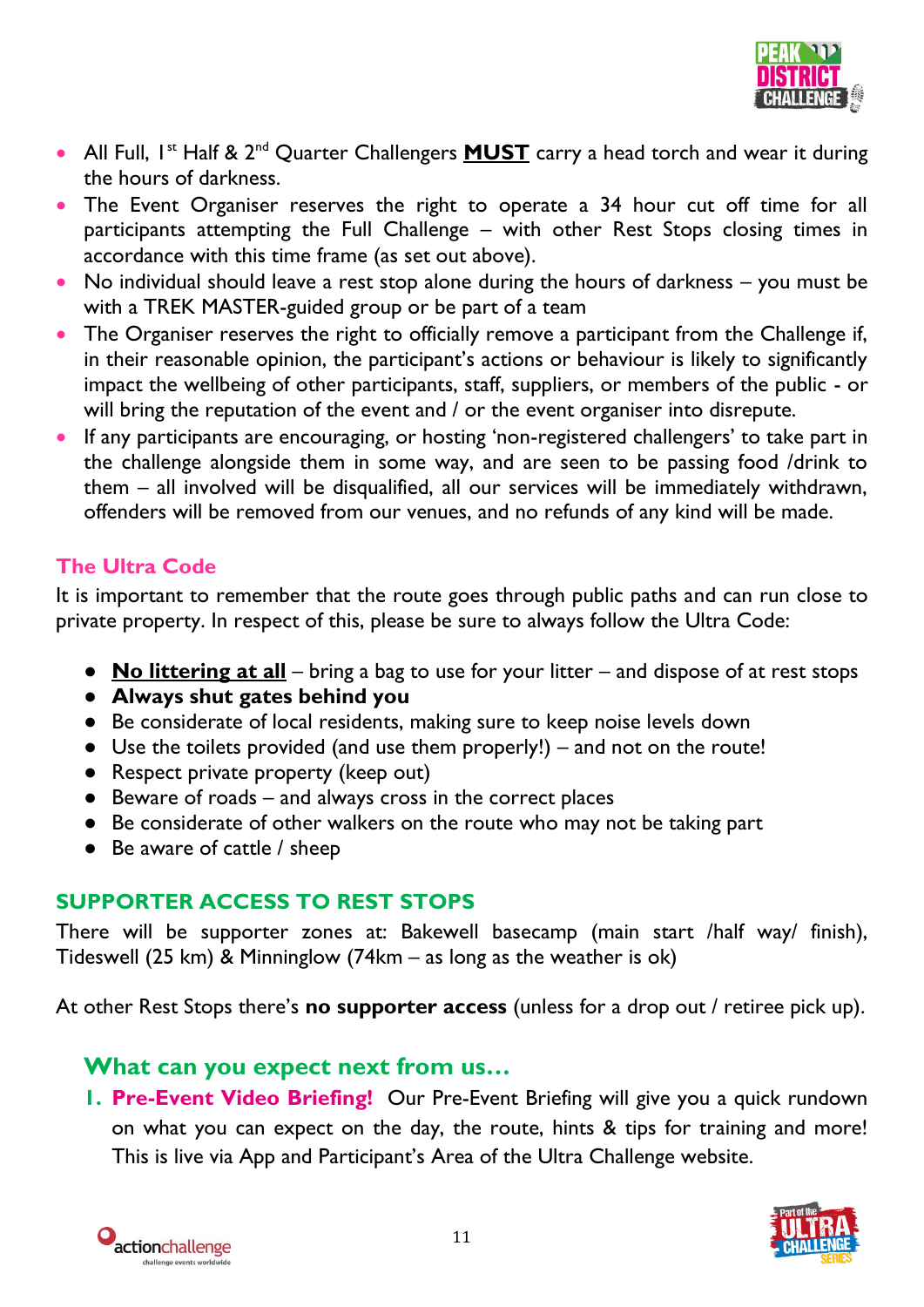

- All Full, I<sup>st</sup> Half & 2<sup>nd</sup> Quarter Challengers **MUST** carry a head torch and wear it during the hours of darkness.
- The Event Organiser reserves the right to operate a 34 hour cut off time for all participants attempting the Full Challenge – with other Rest Stops closing times in accordance with this time frame (as set out above).
- No individual should leave a rest stop alone during the hours of darkness you must be with a TREK MASTER-guided group or be part of a team
- The Organiser reserves the right to officially remove a participant from the Challenge if, in their reasonable opinion, the participant's actions or behaviour is likely to significantly impact the wellbeing of other participants, staff, suppliers, or members of the public - or will bring the reputation of the event and / or the event organiser into disrepute.
- If any participants are encouraging, or hosting 'non-registered challengers' to take part in the challenge alongside them in some way, and are seen to be passing food /drink to them – all involved will be disqualified, all our services will be immediately withdrawn, offenders will be removed from our venues, and no refunds of any kind will be made.

#### **The Ultra Code**

It is important to remember that the route goes through public paths and can run close to private property. In respect of this, please be sure to always follow the Ultra Code:

- **No littering at all** bring a bag to use for your litter and dispose of at rest stops
- **Always shut gates behind you**
- Be considerate of local residents, making sure to keep noise levels down
- Use the toilets provided (and use them properly!) and not on the route!
- Respect private property (keep out)
- Beware of roads and always cross in the correct places
- Be considerate of other walkers on the route who may not be taking part
- Be aware of cattle / sheep

#### **SUPPORTER ACCESS TO REST STOPS**

There will be supporter zones at: Bakewell basecamp (main start /half way/ finish), Tideswell (25 km) & Minninglow (74km – as long as the weather is ok)

At other Rest Stops there's **no supporter access** (unless for a drop out / retiree pick up).

# **What can you expect next from us…**

**1. Pre-Event Video Briefing!** Our Pre-Event Briefing will give you a quick rundown on what you can expect on the day, the route, hints & tips for training and more! This is live via App and Participant's Area of the Ultra Challenge website.